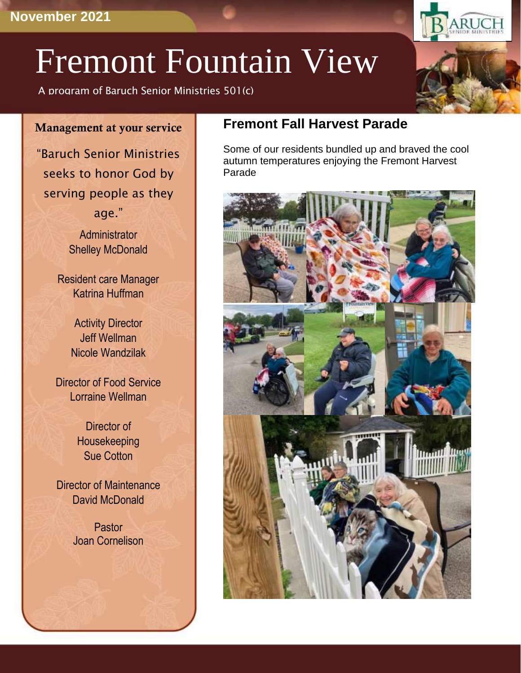# Fremont Fountain View

A program of Baruch Senior Ministries 501(c)

#### Management at your service

"Baruch Senior Ministries seeks to honor God by serving people as they age."

> **Administrator** Shelley McDonald

Resident care Manager Katrina Huffman

> Activity Director Jeff Wellman Nicole Wandzilak

Director of Food Service Lorraine Wellman

> Director of Housekeeping Sue Cotton

Director of Maintenance David McDonald

> Pastor Joan Cornelison

# **Fremont Fall Harvest Parade**

Some of our residents bundled up and braved the cool autumn temperatures enjoying the Fremont Harvest Parade



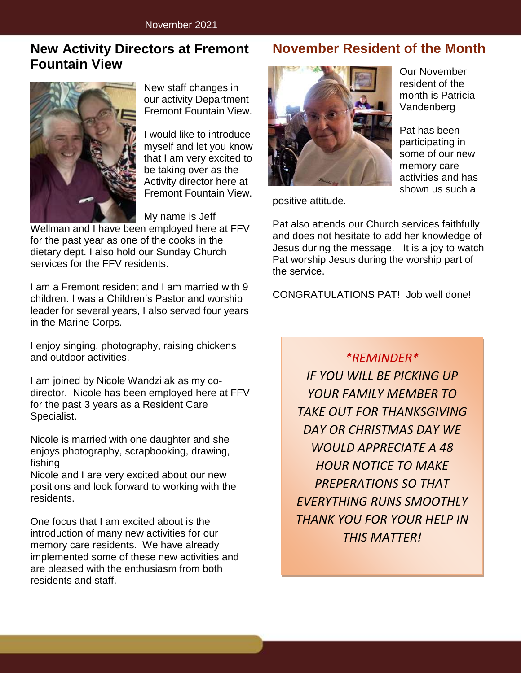## **New Activity Directors at Fremont Fountain View**



New staff changes in our activity Department Fremont Fountain View.

I would like to introduce myself and let you know that I am very excited to be taking over as the Activity director here at Fremont Fountain View.

My name is Jeff

Wellman and I have been employed here at FFV for the past year as one of the cooks in the dietary dept. I also hold our Sunday Church services for the FFV residents.

I am a Fremont resident and I am married with 9 children. I was a Children's Pastor and worship leader for several years, I also served four years in the Marine Corps.

I enjoy singing, photography, raising chickens and outdoor activities.

I am joined by Nicole Wandzilak as my codirector. Nicole has been employed here at FFV for the past 3 years as a Resident Care Specialist.

Nicole is married with one daughter and she enjoys photography, scrapbooking, drawing, fishing

Nicole and I are very excited about our new positions and look forward to working with the residents.

One focus that I am excited about is the introduction of many new activities for our memory care residents. We have already implemented some of these new activities and are pleased with the enthusiasm from both residents and staff.

## **November Resident of the Month**



positive attitude.

Pat also attends our Church services faithfully and does not hesitate to add her knowledge of Jesus during the message. It is a joy to watch Pat worship Jesus during the worship part of the service.

CONGRATULATIONS PAT! Job well done!

*\*REMINDER\**

*IF YOU WILL BE PICKING UP YOUR FAMILY MEMBER TO TAKE OUT FOR THANKSGIVING DAY OR CHRISTMAS DAY WE WOULD APPRECIATE A 48 HOUR NOTICE TO MAKE PREPERATIONS SO THAT EVERYTHING RUNS SMOOTHLY THANK YOU FOR YOUR HELP IN THIS MATTER!*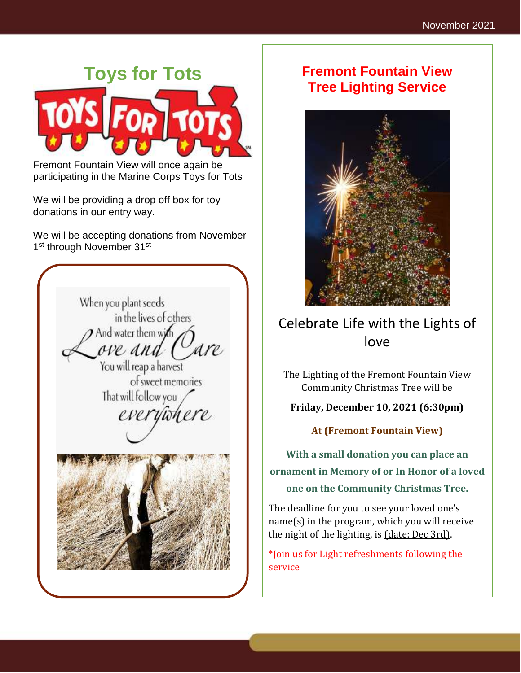

Fremont Fountain View will once again be participating in the Marine Corps Toys for Tots

We will be providing a drop off box for toy donations in our entry way.

We will be accepting donations from November 1<sup>st</sup> through November 31<sup>st</sup>



# **Fremont Fountain View Tree Lighting Service**



# Celebrate Life with the Lights of love

The Lighting of the Fremont Fountain View Community Christmas Tree will be

#### **Friday, December 10, 2021 (6:30pm)**

**At (Fremont Fountain View)**

**With a small donation you can place an ornament in Memory of or In Honor of a loved one on the Community Christmas Tree.**

The deadline for you to see your loved one's name(s) in the program, which you will receive the night of the lighting, is (date: Dec 3rd).

\*Join us for Light refreshments following the service